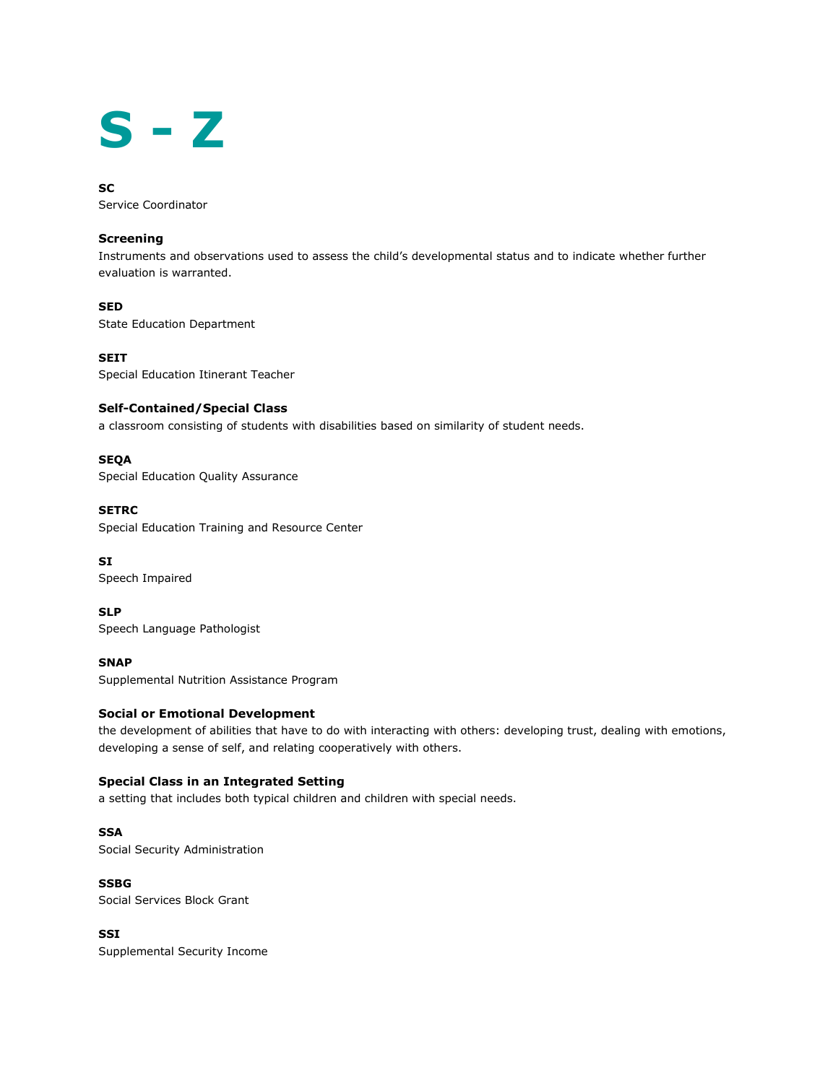# **S - Z**

#### **SC**

Service Coordinator

#### **Screening**

Instruments and observations used to assess the child's developmental status and to indicate whether further evaluation is warranted.

#### **SED**

State Education Department

**SEIT** Special Education Itinerant Teacher

#### **Self-Contained/Special Class**

a classroom consisting of students with disabilities based on similarity of student needs.

#### **SEQA**

Special Education Quality Assurance

#### **SETRC**

Special Education Training and Resource Center

# **SI**

Speech Impaired

**SLP** Speech Language Pathologist

**SNAP** Supplemental Nutrition Assistance Program

#### **Social or Emotional Development**

the development of abilities that have to do with interacting with others: developing trust, dealing with emotions, developing a sense of self, and relating cooperatively with others.

# **Special Class in an Integrated Setting**

a setting that includes both typical children and children with special needs.

#### **SSA**

Social Security Administration

#### **SSBG**

Social Services Block Grant

#### **SSI**

Supplemental Security Income